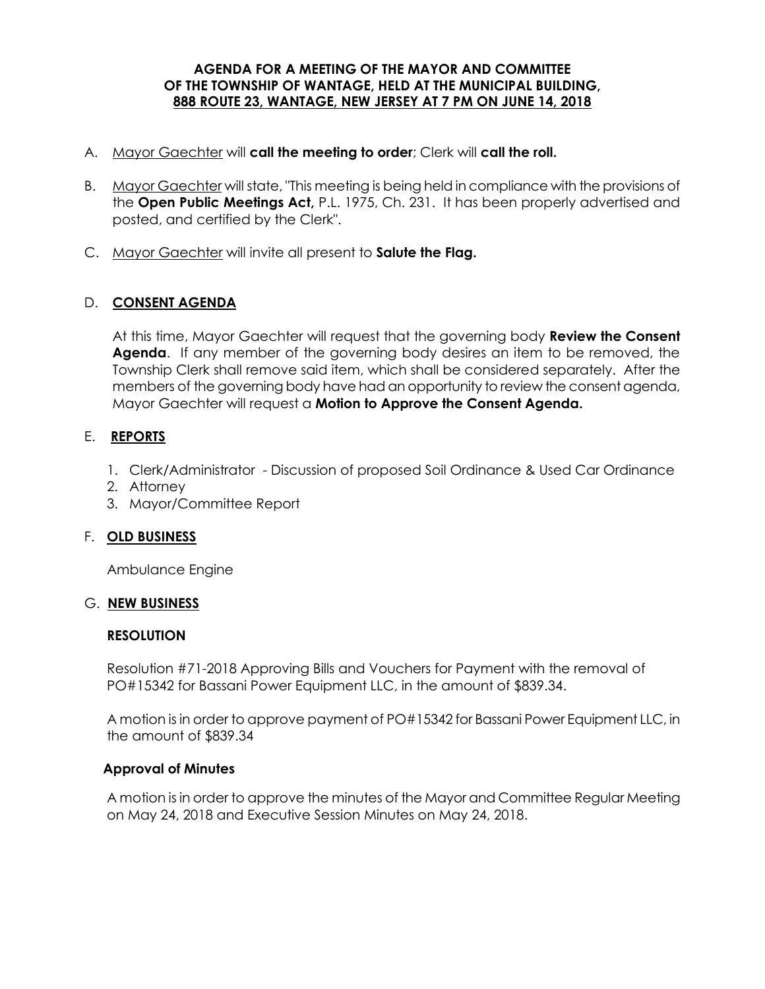#### **AGENDA FOR A MEETING OF THE MAYOR AND COMMITTEE OF THE TOWNSHIP OF WANTAGE, HELD AT THE MUNICIPAL BUILDING, 888 ROUTE 23, WANTAGE, NEW JERSEY AT 7 PM ON JUNE 14, 2018**

- A. Mayor Gaechter will **call the meeting to order**; Clerk will **call the roll.**
- B. Mayor Gaechter will state, "This meeting is being held in compliance with the provisions of the **Open Public Meetings Act,** P.L. 1975, Ch. 231. It has been properly advertised and posted, and certified by the Clerk".
- C. Mayor Gaechter will invite all present to **Salute the Flag.**

## D. **CONSENT AGENDA**

At this time, Mayor Gaechter will request that the governing body **Review the Consent Agenda**. If any member of the governing body desires an item to be removed, the Township Clerk shall remove said item, which shall be considered separately. After the members of the governing body have had an opportunity to review the consent agenda, Mayor Gaechter will request a **Motion to Approve the Consent Agenda.** 

## E. **REPORTS**

- 1. Clerk/Administrator Discussion of proposed Soil Ordinance & Used Car Ordinance
- 2. Attorney
- 3. Mayor/Committee Report

#### F. **OLD BUSINESS**

Ambulance Engine

#### G. **NEW BUSINESS**

#### **RESOLUTION**

Resolution #71-2018 Approving Bills and Vouchers for Payment with the removal of PO#15342 for Bassani Power Equipment LLC, in the amount of \$839.34.

A motion is in order to approve payment of PO#15342 for Bassani Power Equipment LLC, in the amount of \$839.34

#### **Approval of Minutes**

 A motion is in order to approve the minutes of the Mayor and Committee Regular Meeting on May 24, 2018 and Executive Session Minutes on May 24, 2018.